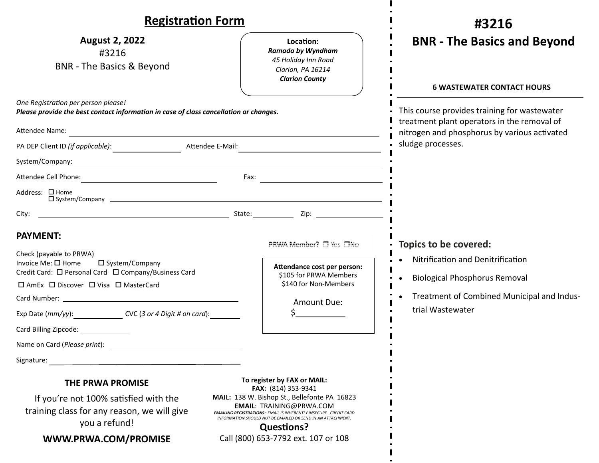| <b>Registration Form</b>                                                                                                                                                                                                                                                                                                                  |                                                                                                                                                                                                                                                                                                                                              | #3216                                                                                                                                                                  |
|-------------------------------------------------------------------------------------------------------------------------------------------------------------------------------------------------------------------------------------------------------------------------------------------------------------------------------------------|----------------------------------------------------------------------------------------------------------------------------------------------------------------------------------------------------------------------------------------------------------------------------------------------------------------------------------------------|------------------------------------------------------------------------------------------------------------------------------------------------------------------------|
| <b>August 2, 2022</b><br>#3216<br><b>BNR</b> - The Basics & Beyond                                                                                                                                                                                                                                                                        | Location:<br>Ramada by Wyndham<br>45 Holiday Inn Road<br>Clarion, PA 16214<br><b>Clarion County</b>                                                                                                                                                                                                                                          | <b>BNR - The Basics and Beyond</b><br><b>6 WASTEWATER CONTACT HOURS</b>                                                                                                |
| One Registration per person please!<br>Please provide the best contact information in case of class cancellation or changes.<br>Attendee E-Mail:                                                                                                                                                                                          |                                                                                                                                                                                                                                                                                                                                              | This course provides training for wastewater<br>treatment plant operators in the removal of<br>nitrogen and phosphorus by various activated<br>sludge processes.       |
| Address: □ Home                                                                                                                                                                                                                                                                                                                           |                                                                                                                                                                                                                                                                                                                                              |                                                                                                                                                                        |
| City:<br><b>PAYMENT:</b><br>Check (payable to PRWA)<br>Invoice Me: □ Home<br>□ System/Company<br>Credit Card: □ Personal Card □ Company/Business Card<br>□ AmEx □ Discover □ Visa □ MasterCard<br>Exp Date (mm/yy): CVC (3 or 4 Digit # on card):<br>Card Billing Zipcode: National Card Billing Zipcode:<br>Name on Card (Please print): | PRWA Member? □ Yes □No<br>Attendance cost per person:<br>\$105 for PRWA Members<br>\$140 for Non-Members<br>Amount Due:                                                                                                                                                                                                                      | Topics to be covered:<br>Nitrification and Denitrification<br><b>Biological Phosphorus Removal</b><br>• Treatment of Combined Municipal and Indus-<br>trial Wastewater |
| Signature:<br><b>THE PRWA PROMISE</b><br>If you're not 100% satisfied with the<br>training class for any reason, we will give<br>you a refund!<br>WWW.PRWA.COM/PROMISE                                                                                                                                                                    | To register by FAX or MAIL:<br>FAX: (814) 353-9341<br>MAIL: 138 W. Bishop St., Bellefonte PA 16823<br><b>EMAIL: TRAINING@PRWA.COM</b><br><b>EMAILING REGISTRATIONS: EMAIL IS INHERENTLY INSECURE. CREDIT CARD</b><br>INFORMATION SHOULD NOT BE EMAILED OR SEND IN AN ATTACHMENT.<br><b>Questions?</b><br>Call (800) 653-7792 ext. 107 or 108 |                                                                                                                                                                        |

 $\mathbf{I}$